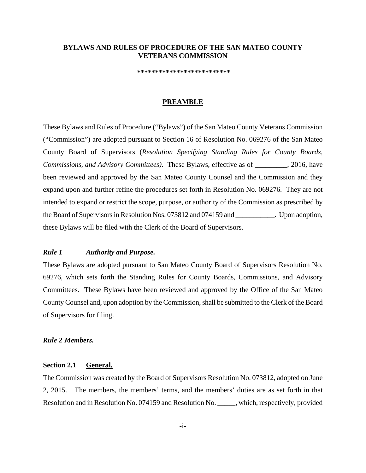## **BYLAWS AND RULES OF PROCEDURE OF THE SAN MATEO COUNTY VETERANS COMMISSION**

 **\*\*\*\*\*\*\*\*\*\*\*\*\*\*\*\*\*\*\*\*\*\*\*\*\*\***

#### **PREAMBLE**

These Bylaws and Rules of Procedure ("Bylaws") of the San Mateo County Veterans Commission ("Commission") are adopted pursuant to Section 16 of Resolution No. 069276 of the San Mateo County Board of Supervisors (*Resolution Specifying Standing Rules for County Boards, Commissions, and Advisory Committees)*. These Bylaws, effective as of \_\_\_\_\_\_\_\_\_, 2016, have been reviewed and approved by the San Mateo County Counsel and the Commission and they expand upon and further refine the procedures set forth in Resolution No. 069276. They are not intended to expand or restrict the scope, purpose, or authority of the Commission as prescribed by the Board of Supervisors in Resolution Nos. 073812 and 074159 and \_\_\_\_\_\_\_\_\_\_\_. Upon adoption, these Bylaws will be filed with the Clerk of the Board of Supervisors.

### *Rule 1 Authority and Purpose.*

These Bylaws are adopted pursuant to San Mateo County Board of Supervisors Resolution No. 69276, which sets forth the Standing Rules for County Boards, Commissions, and Advisory Committees. These Bylaws have been reviewed and approved by the Office of the San Mateo County Counsel and, upon adoption by the Commission, shall be submitted to the Clerk of the Board of Supervisors for filing.

#### *Rule 2 Members.*

### **Section 2.1 General.**

The Commission was created by the Board of Supervisors Resolution No. 073812, adopted on June 2, 2015. The members, the members' terms, and the members' duties are as set forth in that Resolution and in Resolution No. 074159 and Resolution No. \_\_\_\_\_, which, respectively, provided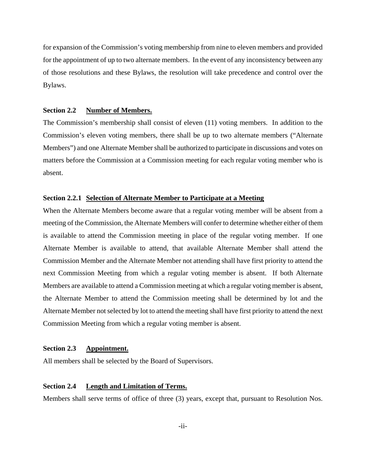for expansion of the Commission's voting membership from nine to eleven members and provided for the appointment of up to two alternate members. In the event of any inconsistency between any of those resolutions and these Bylaws, the resolution will take precedence and control over the Bylaws.

#### **Section 2.2 Number of Members.**

The Commission's membership shall consist of eleven (11) voting members. In addition to the Commission's eleven voting members, there shall be up to two alternate members ("Alternate Members") and one Alternate Member shall be authorized to participate in discussions and votes on matters before the Commission at a Commission meeting for each regular voting member who is absent.

#### **Section 2.2.1 Selection of Alternate Member to Participate at a Meeting**

When the Alternate Members become aware that a regular voting member will be absent from a meeting of the Commission, the Alternate Members will confer to determine whether either of them is available to attend the Commission meeting in place of the regular voting member. If one Alternate Member is available to attend, that available Alternate Member shall attend the Commission Member and the Alternate Member not attending shall have first priority to attend the next Commission Meeting from which a regular voting member is absent. If both Alternate Members are available to attend a Commission meeting at which a regular voting member is absent, the Alternate Member to attend the Commission meeting shall be determined by lot and the Alternate Member not selected by lot to attend the meeting shall have first priority to attend the next Commission Meeting from which a regular voting member is absent.

#### **Section 2.3 Appointment.**

All members shall be selected by the Board of Supervisors.

### **Section 2.4 Length and Limitation of Terms.**

Members shall serve terms of office of three (3) years, except that, pursuant to Resolution Nos.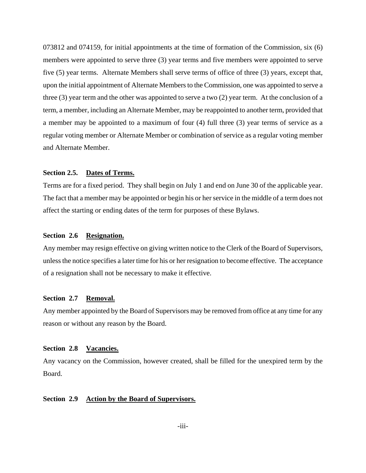073812 and 074159, for initial appointments at the time of formation of the Commission, six (6) members were appointed to serve three (3) year terms and five members were appointed to serve five (5) year terms. Alternate Members shall serve terms of office of three (3) years, except that, upon the initial appointment of Alternate Members to the Commission, one was appointed to serve a three (3) year term and the other was appointed to serve a two (2) year term. At the conclusion of a term, a member, including an Alternate Member, may be reappointed to another term, provided that a member may be appointed to a maximum of four (4) full three (3) year terms of service as a regular voting member or Alternate Member or combination of service as a regular voting member and Alternate Member.

#### **Section 2.5. Dates of Terms.**

Terms are for a fixed period. They shall begin on July 1 and end on June 30 of the applicable year. The fact that a member may be appointed or begin his or her service in the middle of a term does not affect the starting or ending dates of the term for purposes of these Bylaws.

#### **Section 2.6 Resignation.**

Any member may resign effective on giving written notice to the Clerk of the Board of Supervisors, unless the notice specifies a later time for his or her resignation to become effective. The acceptance of a resignation shall not be necessary to make it effective.

### **Section 2.7 Removal.**

Any member appointed by the Board of Supervisors may be removed from office at any time for any reason or without any reason by the Board.

## **Section 2.8 Vacancies.**

Any vacancy on the Commission, however created, shall be filled for the unexpired term by the Board.

## **Section 2.9 Action by the Board of Supervisors.**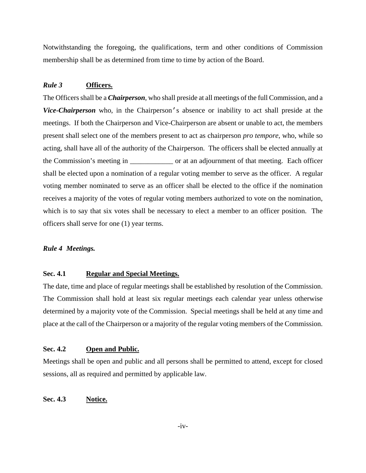Notwithstanding the foregoing, the qualifications, term and other conditions of Commission membership shall be as determined from time to time by action of the Board.

## *Rule 3* **Officers.**

The Officers shall be a *Chairperson*, who shall preside at all meetings of the full Commission, and a *Vice-Chairperson* who, in the Chairperson's absence or inability to act shall preside at the meetings. If both the Chairperson and Vice-Chairperson are absent or unable to act, the members present shall select one of the members present to act as chairperson *pro tempore*, who, while so acting, shall have all of the authority of the Chairperson. The officers shall be elected annually at the Commission's meeting in \_\_\_\_\_\_\_\_\_\_\_\_ or at an adjournment of that meeting. Each officer shall be elected upon a nomination of a regular voting member to serve as the officer. A regular voting member nominated to serve as an officer shall be elected to the office if the nomination receives a majority of the votes of regular voting members authorized to vote on the nomination, which is to say that six votes shall be necessary to elect a member to an officer position. The officers shall serve for one (1) year terms.

#### *Rule 4 Meetings.*

## **Sec. 4.1 Regular and Special Meetings.**

The date, time and place of regular meetings shall be established by resolution of the Commission. The Commission shall hold at least six regular meetings each calendar year unless otherwise determined by a majority vote of the Commission. Special meetings shall be held at any time and place at the call of the Chairperson or a majority of the regular voting members of the Commission.

## **Sec. 4.2 Open and Public.**

Meetings shall be open and public and all persons shall be permitted to attend, except for closed sessions, all as required and permitted by applicable law.

## **Sec. 4.3 Notice.**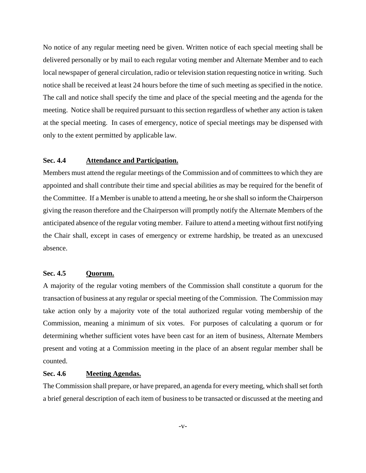No notice of any regular meeting need be given. Written notice of each special meeting shall be delivered personally or by mail to each regular voting member and Alternate Member and to each local newspaper of general circulation, radio or television station requesting notice in writing. Such notice shall be received at least 24 hours before the time of such meeting as specified in the notice. The call and notice shall specify the time and place of the special meeting and the agenda for the meeting. Notice shall be required pursuant to this section regardless of whether any action is taken at the special meeting. In cases of emergency, notice of special meetings may be dispensed with only to the extent permitted by applicable law.

### **Sec. 4.4 Attendance and Participation.**

Members must attend the regular meetings of the Commission and of committees to which they are appointed and shall contribute their time and special abilities as may be required for the benefit of the Committee. If a Member is unable to attend a meeting, he or she shall so inform the Chairperson giving the reason therefore and the Chairperson will promptly notify the Alternate Members of the anticipated absence of the regular voting member. Failure to attend a meeting without first notifying the Chair shall, except in cases of emergency or extreme hardship, be treated as an unexcused absence.

## **Sec. 4.5 Quorum.**

A majority of the regular voting members of the Commission shall constitute a quorum for the transaction of business at any regular or special meeting of the Commission. The Commission may take action only by a majority vote of the total authorized regular voting membership of the Commission, meaning a minimum of six votes. For purposes of calculating a quorum or for determining whether sufficient votes have been cast for an item of business, Alternate Members present and voting at a Commission meeting in the place of an absent regular member shall be counted.

## **Sec. 4.6 Meeting Agendas.**

The Commission shall prepare, or have prepared, an agenda for every meeting, which shall set forth a brief general description of each item of business to be transacted or discussed at the meeting and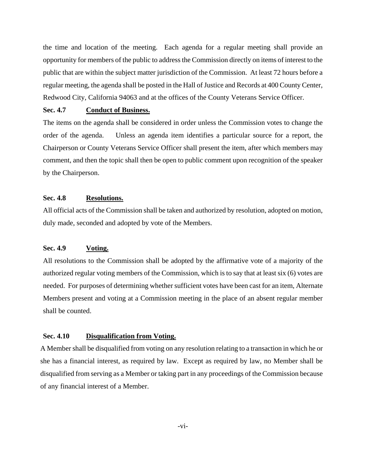the time and location of the meeting. Each agenda for a regular meeting shall provide an opportunity for members of the public to address the Commission directly on items of interest to the public that are within the subject matter jurisdiction of the Commission. At least 72 hours before a regular meeting, the agenda shall be posted in the Hall of Justice and Records at 400 County Center, Redwood City, California 94063 and at the offices of the County Veterans Service Officer.

## **Sec. 4.7 Conduct of Business.**

The items on the agenda shall be considered in order unless the Commission votes to change the order of the agenda. Unless an agenda item identifies a particular source for a report, the Chairperson or County Veterans Service Officer shall present the item, after which members may comment, and then the topic shall then be open to public comment upon recognition of the speaker by the Chairperson.

## **Sec. 4.8 Resolutions.**

All official acts of the Commission shall be taken and authorized by resolution, adopted on motion, duly made, seconded and adopted by vote of the Members.

### **Sec. 4.9 Voting.**

All resolutions to the Commission shall be adopted by the affirmative vote of a majority of the authorized regular voting members of the Commission, which is to say that at least six (6) votes are needed. For purposes of determining whether sufficient votes have been cast for an item, Alternate Members present and voting at a Commission meeting in the place of an absent regular member shall be counted.

### **Sec. 4.10 Disqualification from Voting.**

A Member shall be disqualified from voting on any resolution relating to a transaction in which he or she has a financial interest, as required by law. Except as required by law, no Member shall be disqualified from serving as a Member or taking part in any proceedings of the Commission because of any financial interest of a Member.

-vi-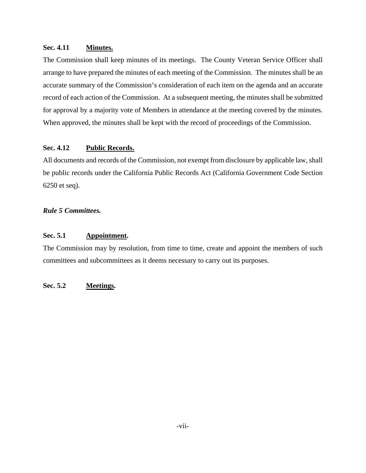## **Sec. 4.11 Minutes.**

The Commission shall keep minutes of its meetings. The County Veteran Service Officer shall arrange to have prepared the minutes of each meeting of the Commission. The minutes shall be an accurate summary of the Commission's consideration of each item on the agenda and an accurate record of each action of the Commission. At a subsequent meeting, the minutes shall be submitted for approval by a majority vote of Members in attendance at the meeting covered by the minutes. When approved, the minutes shall be kept with the record of proceedings of the Commission.

# **Sec. 4.12 Public Records.**

All documents and records of the Commission, not exempt from disclosure by applicable law, shall be public records under the California Public Records Act (California Government Code Section 6250 et seq).

# *Rule 5 Committees.*

# **Sec. 5.1 Appointment.**

The Commission may by resolution, from time to time, create and appoint the members of such committees and subcommittees as it deems necessary to carry out its purposes.

## **Sec. 5.2 Meetings.**